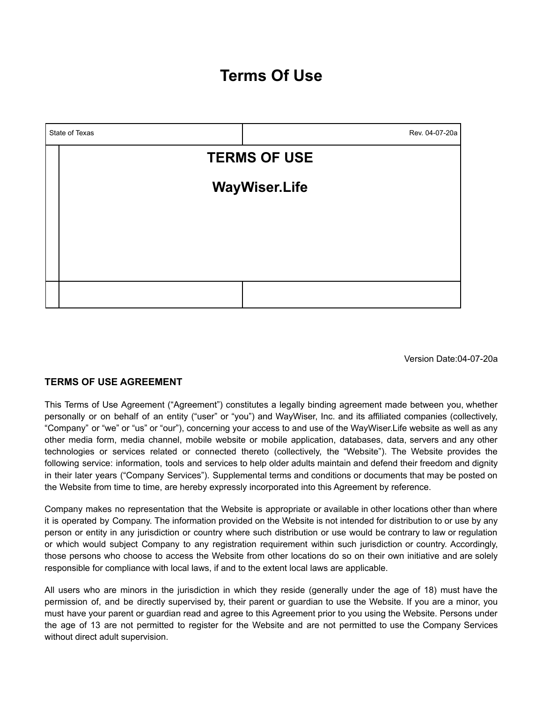# **Terms Of Use**



Version Date:04-07-20a

### **TERMS OF USE AGREEMENT**

This Terms of Use Agreement ("Agreement") constitutes a legally binding agreement made between you, whether personally or on behalf of an entity ("user" or "you") and WayWiser, Inc. and its affiliated companies (collectively, "Company" or "we" or "us" or "our"), concerning your access to and use of the WayWiser.Life website as well as any other media form, media channel, mobile website or mobile application, databases, data, servers and any other technologies or services related or connected thereto (collectively, the "Website"). The Website provides the following service: information, tools and services to help older adults maintain and defend their freedom and dignity in their later years ("Company Services"). Supplemental terms and conditions or documents that may be posted on the Website from time to time, are hereby expressly incorporated into this Agreement by reference.

Company makes no representation that the Website is appropriate or available in other locations other than where it is operated by Company. The information provided on the Website is not intended for distribution to or use by any person or entity in any jurisdiction or country where such distribution or use would be contrary to law or regulation or which would subject Company to any registration requirement within such jurisdiction or country. Accordingly, those persons who choose to access the Website from other locations do so on their own initiative and are solely responsible for compliance with local laws, if and to the extent local laws are applicable.

All users who are minors in the jurisdiction in which they reside (generally under the age of 18) must have the permission of, and be directly supervised by, their parent or guardian to use the Website. If you are a minor, you must have your parent or guardian read and agree to this Agreement prior to you using the Website. Persons under the age of 13 are not permitted to register for the Website and are not permitted to use the Company Services without direct adult supervision.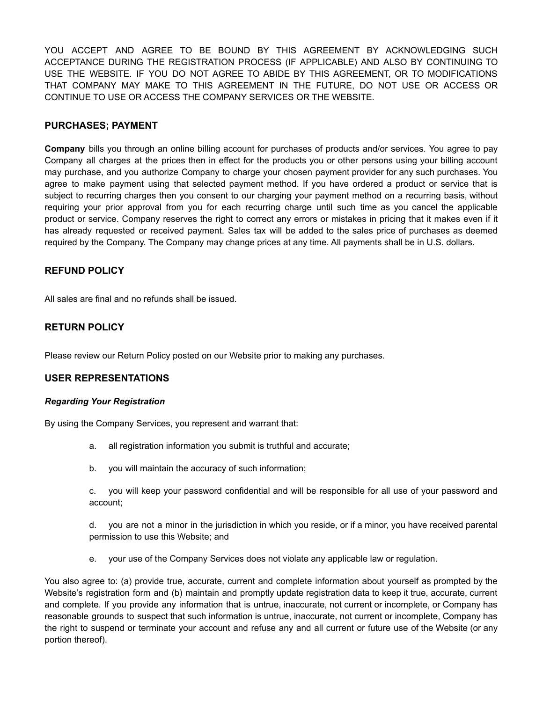YOU ACCEPT AND AGREE TO BE BOUND BY THIS AGREEMENT BY ACKNOWLEDGING SUCH ACCEPTANCE DURING THE REGISTRATION PROCESS (IF APPLICABLE) AND ALSO BY CONTINUING TO USE THE WEBSITE. IF YOU DO NOT AGREE TO ABIDE BY THIS AGREEMENT, OR TO MODIFICATIONS THAT COMPANY MAY MAKE TO THIS AGREEMENT IN THE FUTURE, DO NOT USE OR ACCESS OR CONTINUE TO USE OR ACCESS THE COMPANY SERVICES OR THE WEBSITE.

## **PURCHASES; PAYMENT**

**Company** bills you through an online billing account for purchases of products and/or services. You agree to pay Company all charges at the prices then in effect for the products you or other persons using your billing account may purchase, and you authorize Company to charge your chosen payment provider for any such purchases. You agree to make payment using that selected payment method. If you have ordered a product or service that is subject to recurring charges then you consent to our charging your payment method on a recurring basis, without requiring your prior approval from you for each recurring charge until such time as you cancel the applicable product or service. Company reserves the right to correct any errors or mistakes in pricing that it makes even if it has already requested or received payment. Sales tax will be added to the sales price of purchases as deemed required by the Company. The Company may change prices at any time. All payments shall be in U.S. dollars.

## **REFUND POLICY**

All sales are final and no refunds shall be issued.

## **RETURN POLICY**

Please review our Return Policy posted on our Website prior to making any purchases.

### **USER REPRESENTATIONS**

#### *Regarding Your Registration*

By using the Company Services, you represent and warrant that:

- a. all registration information you submit is truthful and accurate;
- b. you will maintain the accuracy of such information;

c. you will keep your password confidential and will be responsible for all use of your password and account;

d. you are not a minor in the jurisdiction in which you reside, or if a minor, you have received parental permission to use this Website; and

e. your use of the Company Services does not violate any applicable law or regulation.

You also agree to: (a) provide true, accurate, current and complete information about yourself as prompted by the Website's registration form and (b) maintain and promptly update registration data to keep it true, accurate, current and complete. If you provide any information that is untrue, inaccurate, not current or incomplete, or Company has reasonable grounds to suspect that such information is untrue, inaccurate, not current or incomplete, Company has the right to suspend or terminate your account and refuse any and all current or future use of the Website (or any portion thereof).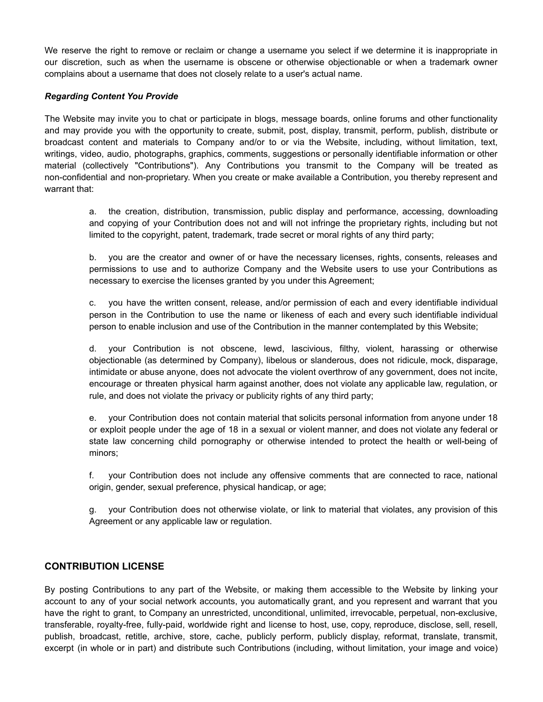We reserve the right to remove or reclaim or change a username you select if we determine it is inappropriate in our discretion, such as when the username is obscene or otherwise objectionable or when a trademark owner complains about a username that does not closely relate to a user's actual name.

#### *Regarding Content You Provide*

The Website may invite you to chat or participate in blogs, message boards, online forums and other functionality and may provide you with the opportunity to create, submit, post, display, transmit, perform, publish, distribute or broadcast content and materials to Company and/or to or via the Website, including, without limitation, text, writings, video, audio, photographs, graphics, comments, suggestions or personally identifiable information or other material (collectively "Contributions"). Any Contributions you transmit to the Company will be treated as non-confidential and non-proprietary. When you create or make available a Contribution, you thereby represent and warrant that:

a. the creation, distribution, transmission, public display and performance, accessing, downloading and copying of your Contribution does not and will not infringe the proprietary rights, including but not limited to the copyright, patent, trademark, trade secret or moral rights of any third party;

b. you are the creator and owner of or have the necessary licenses, rights, consents, releases and permissions to use and to authorize Company and the Website users to use your Contributions as necessary to exercise the licenses granted by you under this Agreement;

c. you have the written consent, release, and/or permission of each and every identifiable individual person in the Contribution to use the name or likeness of each and every such identifiable individual person to enable inclusion and use of the Contribution in the manner contemplated by this Website;

d. your Contribution is not obscene, lewd, lascivious, filthy, violent, harassing or otherwise objectionable (as determined by Company), libelous or slanderous, does not ridicule, mock, disparage, intimidate or abuse anyone, does not advocate the violent overthrow of any government, does not incite, encourage or threaten physical harm against another, does not violate any applicable law, regulation, or rule, and does not violate the privacy or publicity rights of any third party;

e. your Contribution does not contain material that solicits personal information from anyone under 18 or exploit people under the age of 18 in a sexual or violent manner, and does not violate any federal or state law concerning child pornography or otherwise intended to protect the health or well-being of minors;

f. your Contribution does not include any offensive comments that are connected to race, national origin, gender, sexual preference, physical handicap, or age;

g. your Contribution does not otherwise violate, or link to material that violates, any provision of this Agreement or any applicable law or regulation.

### **CONTRIBUTION LICENSE**

By posting Contributions to any part of the Website, or making them accessible to the Website by linking your account to any of your social network accounts, you automatically grant, and you represent and warrant that you have the right to grant, to Company an unrestricted, unconditional, unlimited, irrevocable, perpetual, non-exclusive, transferable, royalty-free, fully-paid, worldwide right and license to host, use, copy, reproduce, disclose, sell, resell, publish, broadcast, retitle, archive, store, cache, publicly perform, publicly display, reformat, translate, transmit, excerpt (in whole or in part) and distribute such Contributions (including, without limitation, your image and voice)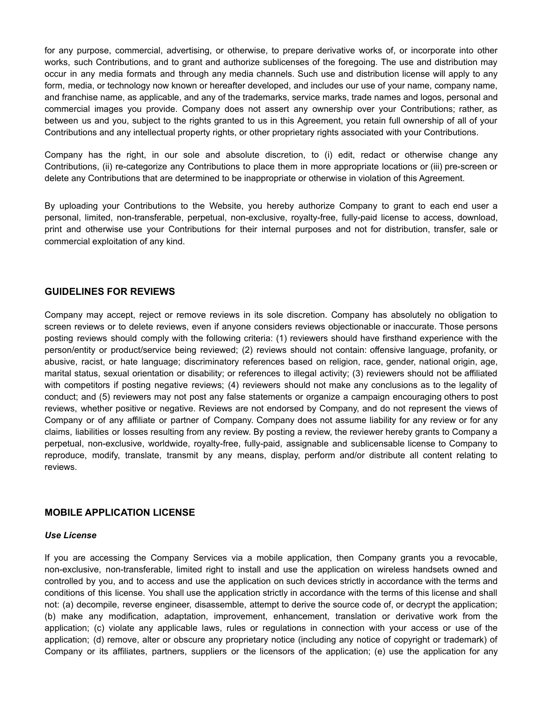for any purpose, commercial, advertising, or otherwise, to prepare derivative works of, or incorporate into other works, such Contributions, and to grant and authorize sublicenses of the foregoing. The use and distribution may occur in any media formats and through any media channels. Such use and distribution license will apply to any form, media, or technology now known or hereafter developed, and includes our use of your name, company name, and franchise name, as applicable, and any of the trademarks, service marks, trade names and logos, personal and commercial images you provide. Company does not assert any ownership over your Contributions; rather, as between us and you, subject to the rights granted to us in this Agreement, you retain full ownership of all of your Contributions and any intellectual property rights, or other proprietary rights associated with your Contributions.

Company has the right, in our sole and absolute discretion, to (i) edit, redact or otherwise change any Contributions, (ii) re-categorize any Contributions to place them in more appropriate locations or (iii) pre-screen or delete any Contributions that are determined to be inappropriate or otherwise in violation of this Agreement.

By uploading your Contributions to the Website, you hereby authorize Company to grant to each end user a personal, limited, non-transferable, perpetual, non-exclusive, royalty-free, fully-paid license to access, download, print and otherwise use your Contributions for their internal purposes and not for distribution, transfer, sale or commercial exploitation of any kind.

## **GUIDELINES FOR REVIEWS**

Company may accept, reject or remove reviews in its sole discretion. Company has absolutely no obligation to screen reviews or to delete reviews, even if anyone considers reviews objectionable or inaccurate. Those persons posting reviews should comply with the following criteria: (1) reviewers should have firsthand experience with the person/entity or product/service being reviewed; (2) reviews should not contain: offensive language, profanity, or abusive, racist, or hate language; discriminatory references based on religion, race, gender, national origin, age, marital status, sexual orientation or disability; or references to illegal activity; (3) reviewers should not be affiliated with competitors if posting negative reviews; (4) reviewers should not make any conclusions as to the legality of conduct; and (5) reviewers may not post any false statements or organize a campaign encouraging others to post reviews, whether positive or negative. Reviews are not endorsed by Company, and do not represent the views of Company or of any affiliate or partner of Company. Company does not assume liability for any review or for any claims, liabilities or losses resulting from any review. By posting a review, the reviewer hereby grants to Company a perpetual, non-exclusive, worldwide, royalty-free, fully-paid, assignable and sublicensable license to Company to reproduce, modify, translate, transmit by any means, display, perform and/or distribute all content relating to reviews.

### **MOBILE APPLICATION LICENSE**

#### *Use License*

If you are accessing the Company Services via a mobile application, then Company grants you a revocable, non-exclusive, non-transferable, limited right to install and use the application on wireless handsets owned and controlled by you, and to access and use the application on such devices strictly in accordance with the terms and conditions of this license. You shall use the application strictly in accordance with the terms of this license and shall not: (a) decompile, reverse engineer, disassemble, attempt to derive the source code of, or decrypt the application; (b) make any modification, adaptation, improvement, enhancement, translation or derivative work from the application; (c) violate any applicable laws, rules or regulations in connection with your access or use of the application; (d) remove, alter or obscure any proprietary notice (including any notice of copyright or trademark) of Company or its affiliates, partners, suppliers or the licensors of the application; (e) use the application for any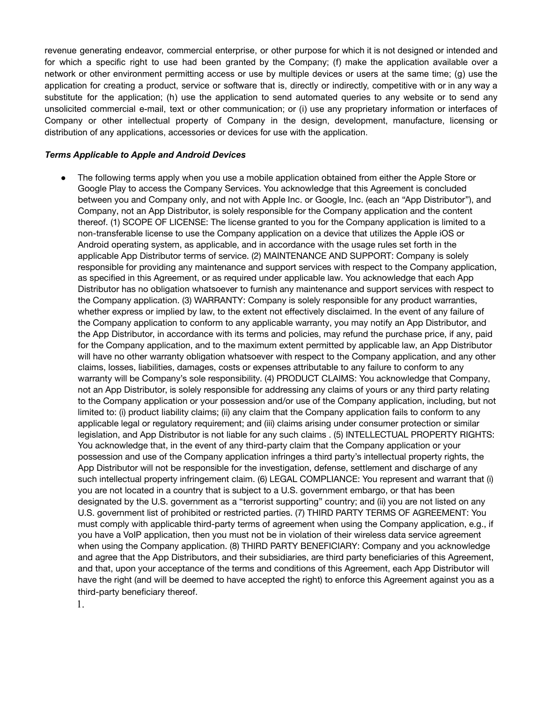revenue generating endeavor, commercial enterprise, or other purpose for which it is not designed or intended and for which a specific right to use had been granted by the Company; (f) make the application available over a network or other environment permitting access or use by multiple devices or users at the same time; (g) use the application for creating a product, service or software that is, directly or indirectly, competitive with or in any way a substitute for the application; (h) use the application to send automated queries to any website or to send any unsolicited commercial e-mail, text or other communication; or (i) use any proprietary information or interfaces of Company or other intellectual property of Company in the design, development, manufacture, licensing or distribution of any applications, accessories or devices for use with the application.

#### *Terms Applicable to Apple and Android Devices*

• The following terms apply when you use a mobile application obtained from either the Apple Store or Google Play to access the Company Services. You acknowledge that this Agreement is concluded between you and Company only, and not with Apple Inc. or Google, Inc. (each an "App Distributor"), and Company, not an App Distributor, is solely responsible for the Company application and the content thereof. (1) SCOPE OF LICENSE: The license granted to you for the Company application is limited to a non-transferable license to use the Company application on a device that utilizes the Apple iOS or Android operating system, as applicable, and in accordance with the usage rules set forth in the applicable App Distributor terms of service. (2) MAINTENANCE AND SUPPORT: Company is solely responsible for providing any maintenance and support services with respect to the Company application, as specified in this Agreement, or as required under applicable law. You acknowledge that each App Distributor has no obligation whatsoever to furnish any maintenance and support services with respect to the Company application. (3) WARRANTY: Company is solely responsible for any product warranties, whether express or implied by law, to the extent not effectively disclaimed. In the event of any failure of the Company application to conform to any applicable warranty, you may notify an App Distributor, and the App Distributor, in accordance with its terms and policies, may refund the purchase price, if any, paid for the Company application, and to the maximum extent permitted by applicable law, an App Distributor will have no other warranty obligation whatsoever with respect to the Company application, and any other claims, losses, liabilities, damages, costs or expenses attributable to any failure to conform to any warranty will be Company's sole responsibility. (4) PRODUCT CLAIMS: You acknowledge that Company, not an App Distributor, is solely responsible for addressing any claims of yours or any third party relating to the Company application or your possession and/or use of the Company application, including, but not limited to: (i) product liability claims; (ii) any claim that the Company application fails to conform to any applicable legal or regulatory requirement; and (iii) claims arising under consumer protection or similar legislation, and App Distributor is not liable for any such claims . (5) INTELLECTUAL PROPERTY RIGHTS: You acknowledge that, in the event of any third-party claim that the Company application or your possession and use of the Company application infringes a third party's intellectual property rights, the App Distributor will not be responsible for the investigation, defense, settlement and discharge of any such intellectual property infringement claim. (6) LEGAL COMPLIANCE: You represent and warrant that (i) you are not located in a country that is subject to a U.S. government embargo, or that has been designated by the U.S. government as a "terrorist supporting" country; and (ii) you are not listed on any U.S. government list of prohibited or restricted parties. (7) THIRD PARTY TERMS OF AGREEMENT: You must comply with applicable third-party terms of agreement when using the Company application, e.g., if you have a VoIP application, then you must not be in violation of their wireless data service agreement when using the Company application. (8) THIRD PARTY BENEFICIARY: Company and you acknowledge and agree that the App Distributors, and their subsidiaries, are third party beneficiaries of this Agreement, and that, upon your acceptance of the terms and conditions of this Agreement, each App Distributor will have the right (and will be deemed to have accepted the right) to enforce this Agreement against you as a third-party beneficiary thereof.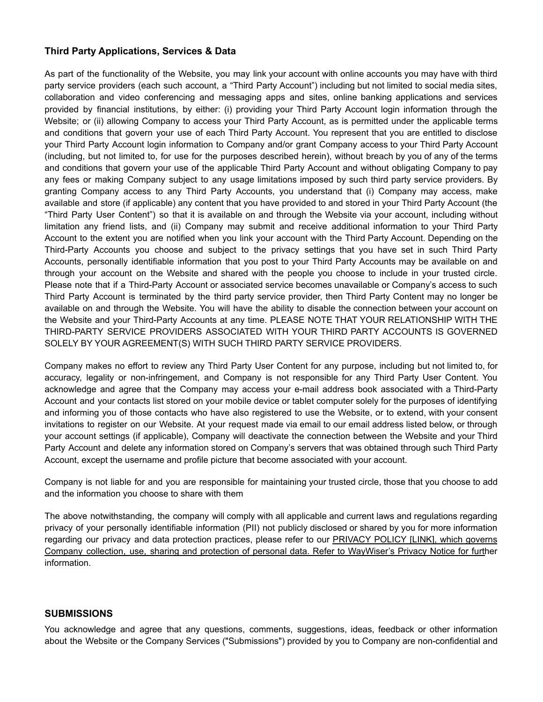## **Third Party Applications, Services & Data**

As part of the functionality of the Website, you may link your account with online accounts you may have with third party service providers (each such account, a "Third Party Account") including but not limited to social media sites, collaboration and video conferencing and messaging apps and sites, online banking applications and services provided by financial institutions, by either: (i) providing your Third Party Account login information through the Website; or (ii) allowing Company to access your Third Party Account, as is permitted under the applicable terms and conditions that govern your use of each Third Party Account. You represent that you are entitled to disclose your Third Party Account login information to Company and/or grant Company access to your Third Party Account (including, but not limited to, for use for the purposes described herein), without breach by you of any of the terms and conditions that govern your use of the applicable Third Party Account and without obligating Company to pay any fees or making Company subject to any usage limitations imposed by such third party service providers. By granting Company access to any Third Party Accounts, you understand that (i) Company may access, make available and store (if applicable) any content that you have provided to and stored in your Third Party Account (the "Third Party User Content") so that it is available on and through the Website via your account, including without limitation any friend lists, and (ii) Company may submit and receive additional information to your Third Party Account to the extent you are notified when you link your account with the Third Party Account. Depending on the Third-Party Accounts you choose and subject to the privacy settings that you have set in such Third Party Accounts, personally identifiable information that you post to your Third Party Accounts may be available on and through your account on the Website and shared with the people you choose to include in your trusted circle. Please note that if a Third-Party Account or associated service becomes unavailable or Company's access to such Third Party Account is terminated by the third party service provider, then Third Party Content may no longer be available on and through the Website. You will have the ability to disable the connection between your account on the Website and your Third-Party Accounts at any time. PLEASE NOTE THAT YOUR RELATIONSHIP WITH THE THIRD-PARTY SERVICE PROVIDERS ASSOCIATED WITH YOUR THIRD PARTY ACCOUNTS IS GOVERNED SOLELY BY YOUR AGREEMENT(S) WITH SUCH THIRD PARTY SERVICE PROVIDERS.

Company makes no effort to review any Third Party User Content for any purpose, including but not limited to, for accuracy, legality or non-infringement, and Company is not responsible for any Third Party User Content. You acknowledge and agree that the Company may access your e-mail address book associated with a Third-Party Account and your contacts list stored on your mobile device or tablet computer solely for the purposes of identifying and informing you of those contacts who have also registered to use the Website, or to extend, with your consent invitations to register on our Website. At your request made via email to [our](https://www.taskrabbit.com/privacy@taskrabbit.com) email address listed below, or through your account settings (if applicable), Company will deactivate the connection between the Website and your Third Party Account and delete any information stored on Company's servers that was obtained through such Third Party Account, except the username and profile picture that become associated with your account.

Company is not liable for and you are responsible for maintaining your trusted circle, those that you choose to add and the information you choose to share with them

The above notwithstanding, the company will comply with all applicable and current laws and regulations regarding privacy of your personally identifiable information (PII) not publicly disclosed or shared by you for more information regarding our privacy and data protection practices, please refer to our **PRIVACY POLICY [LINK]**, which governs Company collection, use, sharing and protection of personal data. Refer to WayWiser's Privacy Notice for further information.

### **SUBMISSIONS**

You acknowledge and agree that any questions, comments, suggestions, ideas, feedback or other information about the Website or the Company Services ("Submissions") provided by you to Company are non-confidential and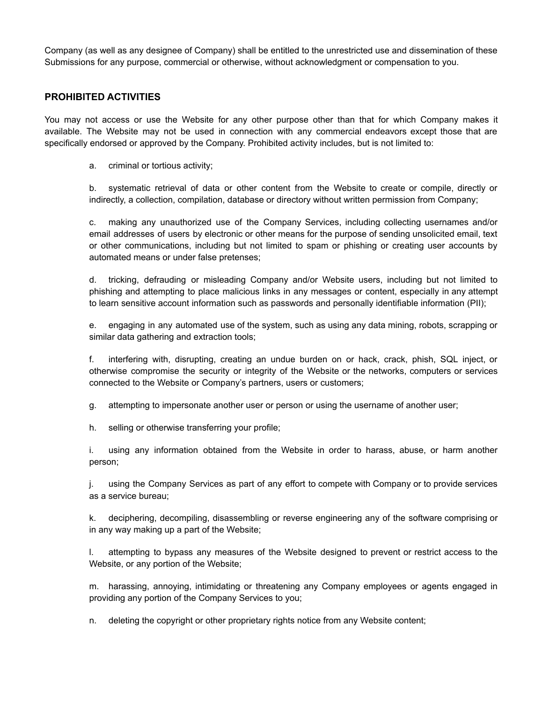Company (as well as any designee of Company) shall be entitled to the unrestricted use and dissemination of these Submissions for any purpose, commercial or otherwise, without acknowledgment or compensation to you.

## **PROHIBITED ACTIVITIES**

You may not access or use the Website for any other purpose other than that for which Company makes it available. The Website may not be used in connection with any commercial endeavors except those that are specifically endorsed or approved by the Company. Prohibited activity includes, but is not limited to:

a. criminal or tortious activity;

b. systematic retrieval of data or other content from the Website to create or compile, directly or indirectly, a collection, compilation, database or directory without written permission from Company;

c. making any unauthorized use of the Company Services, including collecting usernames and/or email addresses of users by electronic or other means for the purpose of sending unsolicited email, text or other communications, including but not limited to spam or phishing or creating user accounts by automated means or under false pretenses;

d. tricking, defrauding or misleading Company and/or Website users, including but not limited to phishing and attempting to place malicious links in any messages or content, especially in any attempt to learn sensitive account information such as passwords and personally identifiable information (PII);

e. engaging in any automated use of the system, such as using any data mining, robots, scrapping or similar data gathering and extraction tools;

f. interfering with, disrupting, creating an undue burden on or hack, crack, phish, SQL inject, or otherwise compromise the security or integrity of the Website or the networks, computers or services connected to the Website or Company's partners, users or customers;

g. attempting to impersonate another user or person or using the username of another user;

h. selling or otherwise transferring your profile;

i. using any information obtained from the Website in order to harass, abuse, or harm another person;

j. using the Company Services as part of any effort to compete with Company or to provide services as a service bureau;

k. deciphering, decompiling, disassembling or reverse engineering any of the software comprising or in any way making up a part of the Website;

l. attempting to bypass any measures of the Website designed to prevent or restrict access to the Website, or any portion of the Website;

m. harassing, annoying, intimidating or threatening any Company employees or agents engaged in providing any portion of the Company Services to you;

n. deleting the copyright or other proprietary rights notice from any Website content;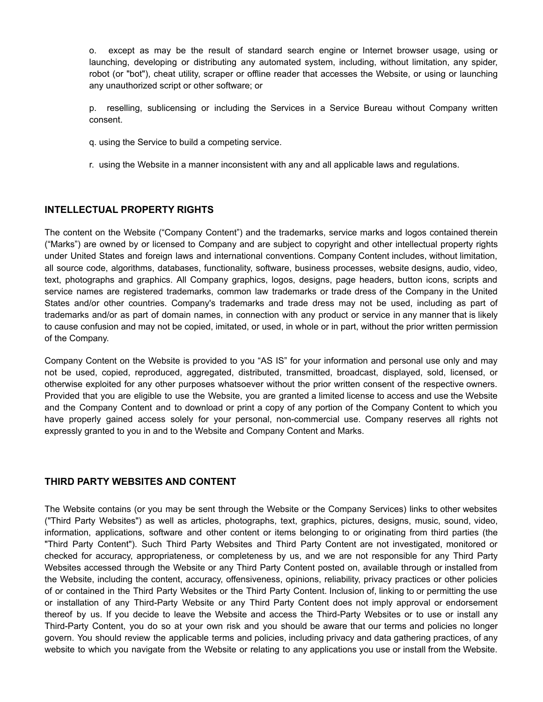o. except as may be the result of standard search engine or Internet browser usage, using or launching, developing or distributing any automated system, including, without limitation, any spider, robot (or "bot"), cheat utility, scraper or offline reader that accesses the Website, or using or launching any unauthorized script or other software; or

p. reselling, sublicensing or including the Services in a Service Bureau without Company written consent.

- q. using the Service to build a competing service.
- r. using the Website in a manner inconsistent with any and all applicable laws and regulations.

## **INTELLECTUAL PROPERTY RIGHTS**

The content on the Website ("Company Content") and the trademarks, service marks and logos contained therein ("Marks") are owned by or licensed to Company and are subject to copyright and other intellectual property rights under United States and foreign laws and international conventions. Company Content includes, without limitation, all source code, algorithms, databases, functionality, software, business processes, website designs, audio, video, text, photographs and graphics. All Company graphics, logos, designs, page headers, button icons, scripts and service names are registered trademarks, common law trademarks or trade dress of the Company in the United States and/or other countries. Company's trademarks and trade dress may not be used, including as part of trademarks and/or as part of domain names, in connection with any product or service in any manner that is likely to cause confusion and may not be copied, imitated, or used, in whole or in part, without the prior written permission of the Company.

Company Content on the Website is provided to you "AS IS" for your information and personal use only and may not be used, copied, reproduced, aggregated, distributed, transmitted, broadcast, displayed, sold, licensed, or otherwise exploited for any other purposes whatsoever without the prior written consent of the respective owners. Provided that you are eligible to use the Website, you are granted a limited license to access and use the Website and the Company Content and to download or print a copy of any portion of the Company Content to which you have properly gained access solely for your personal, non-commercial use. Company reserves all rights not expressly granted to you in and to the Website and Company Content and Marks.

### **THIRD PARTY WEBSITES AND CONTENT**

The Website contains (or you may be sent through the Website or the Company Services) links to other websites ("Third Party Websites") as well as articles, photographs, text, graphics, pictures, designs, music, sound, video, information, applications, software and other content or items belonging to or originating from third parties (the "Third Party Content"). Such Third Party Websites and Third Party Content are not investigated, monitored or checked for accuracy, appropriateness, or completeness by us, and we are not responsible for any Third Party Websites accessed through the Website or any Third Party Content posted on, available through or installed from the Website, including the content, accuracy, offensiveness, opinions, reliability, privacy practices or other policies of or contained in the Third Party Websites or the Third Party Content. Inclusion of, linking to or permitting the use or installation of any Third-Party Website or any Third Party Content does not imply approval or endorsement thereof by us. If you decide to leave the Website and access the Third-Party Websites or to use or install any Third-Party Content, you do so at your own risk and you should be aware that our terms and policies no longer govern. You should review the applicable terms and policies, including privacy and data gathering practices, of any website to which you navigate from the Website or relating to any applications you use or install from the Website.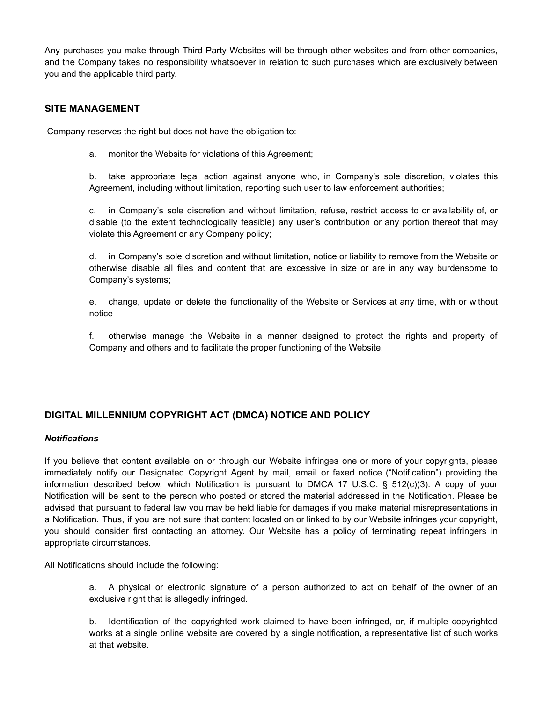Any purchases you make through Third Party Websites will be through other websites and from other companies, and the Company takes no responsibility whatsoever in relation to such purchases which are exclusively between you and the applicable third party.

## **SITE MANAGEMENT**

Company reserves the right but does not have the obligation to:

a. monitor the Website for violations of this Agreement;

b. take appropriate legal action against anyone who, in Company's sole discretion, violates this Agreement, including without limitation, reporting such user to law enforcement authorities;

c. in Company's sole discretion and without limitation, refuse, restrict access to or availability of, or disable (to the extent technologically feasible) any user's contribution or any portion thereof that may violate this Agreement or any Company policy;

d. in Company's sole discretion and without limitation, notice or liability to remove from the Website or otherwise disable all files and content that are excessive in size or are in any way burdensome to Company's systems;

e. change, update or delete the functionality of the Website or Services at any time, with or without notice

f. otherwise manage the Website in a manner designed to protect the rights and property of Company and others and to facilitate the proper functioning of the Website.

## **DIGITAL MILLENNIUM COPYRIGHT ACT (DMCA) NOTICE AND POLICY**

#### *Notifications*

If you believe that content available on or through our Website infringes one or more of your copyrights, please immediately notify our Designated Copyright Agent by mail, email or faxed notice ("Notification") providing the information described below, which Notification is pursuant to DMCA 17 U.S.C. § 512(c)(3). A copy of your Notification will be sent to the person who posted or stored the material addressed in the Notification. Please be advised that pursuant to federal law you may be held liable for damages if you make material misrepresentations in a Notification. Thus, if you are not sure that content located on or linked to by our Website infringes your copyright, you should consider first contacting an attorney. Our Website has a policy of terminating repeat infringers in appropriate circumstances.

All Notifications should include the following:

a. A physical or electronic signature of a person authorized to act on behalf of the owner of an exclusive right that is allegedly infringed.

b. Identification of the copyrighted work claimed to have been infringed, or, if multiple copyrighted works at a single online website are covered by a single notification, a representative list of such works at that website.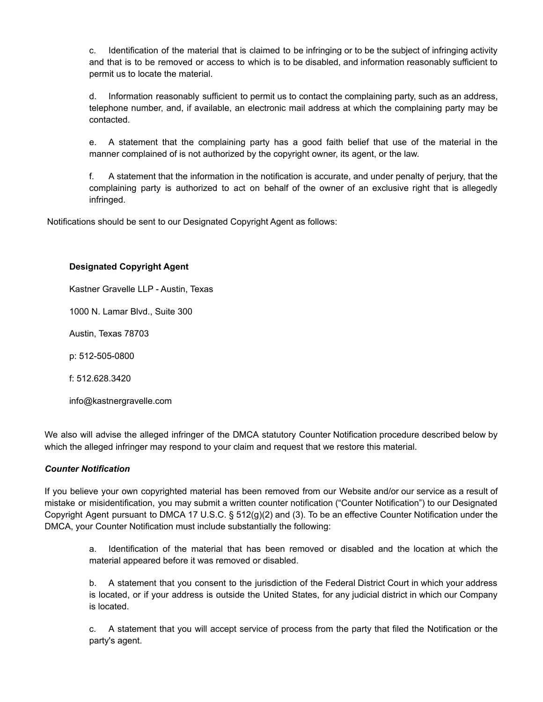c. Identification of the material that is claimed to be infringing or to be the subject of infringing activity and that is to be removed or access to which is to be disabled, and information reasonably sufficient to permit us to locate the material.

d. Information reasonably sufficient to permit us to contact the complaining party, such as an address, telephone number, and, if available, an electronic mail address at which the complaining party may be contacted.

e. A statement that the complaining party has a good faith belief that use of the material in the manner complained of is not authorized by the copyright owner, its agent, or the law.

f. A statement that the information in the notification is accurate, and under penalty of perjury, that the complaining party is authorized to act on behalf of the owner of an exclusive right that is allegedly infringed.

Notifications should be sent to our Designated Copyright Agent as follows:

### **Designated Copyright Agent**

Kastner Gravelle LLP - Austin, Texas

1000 N. Lamar Blvd., Suite 300

Austin, Texas 78703

p: 512-505-0800

f: 512.628.3420

info@kastnergravelle.com

We also will advise the alleged infringer of the DMCA statutory Counter Notification procedure described below by which the alleged infringer may respond to your claim and request that we restore this material.

#### *Counter Notification*

If you believe your own copyrighted material has been removed from our Website and/or our service as a result of mistake or misidentification, you may submit a written counter notification ("Counter Notification") to our Designated Copyright Agent pursuant to DMCA 17 U.S.C. § 512(g)(2) and (3). To be an effective Counter Notification under the DMCA, your Counter Notification must include substantially the following:

a. Identification of the material that has been removed or disabled and the location at which the material appeared before it was removed or disabled.

b. A statement that you consent to the jurisdiction of the Federal District Court in which your address is located, or if your address is outside the United States, for any judicial district in which our Company is located.

c. A statement that you will accept service of process from the party that filed the Notification or the party's agent.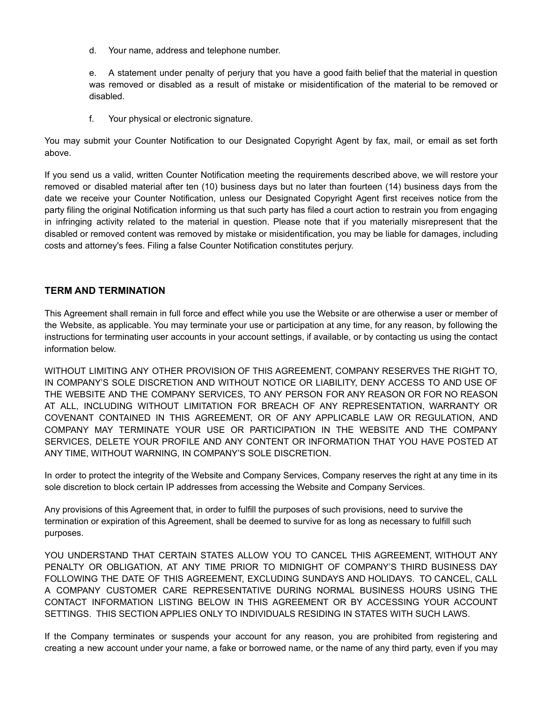d. Your name, address and telephone number.

e. A statement under penalty of perjury that you have a good faith belief that the material in question was removed or disabled as a result of mistake or misidentification of the material to be removed or disabled.

f. Your physical or electronic signature.

You may submit your Counter Notification to our Designated Copyright Agent by fax, mail, or email as set forth above.

If you send us a valid, written Counter Notification meeting the requirements described above, we will restore your removed or disabled material after ten (10) business days but no later than fourteen (14) business days from the date we receive your Counter Notification, unless our Designated Copyright Agent first receives notice from the party filing the original Notification informing us that such party has filed a court action to restrain you from engaging in infringing activity related to the material in question. Please note that if you materially misrepresent that the disabled or removed content was removed by mistake or misidentification, you may be liable for damages, including costs and attorney's fees. Filing a false Counter Notification constitutes perjury.

## **TERM AND TERMINATION**

This Agreement shall remain in full force and effect while you use the Website or are otherwise a user or member of the Website, as applicable. You may terminate your use or participation at any time, for any reason, by following the instructions for terminating user accounts in your account settings, if available, or by contacting us using the contact information below.

WITHOUT LIMITING ANY OTHER PROVISION OF THIS AGREEMENT, COMPANY RESERVES THE RIGHT TO, IN COMPANY'S SOLE DISCRETION AND WITHOUT NOTICE OR LIABILITY, DENY ACCESS TO AND USE OF THE WEBSITE AND THE COMPANY SERVICES, TO ANY PERSON FOR ANY REASON OR FOR NO REASON AT ALL, INCLUDING WITHOUT LIMITATION FOR BREACH OF ANY REPRESENTATION, WARRANTY OR COVENANT CONTAINED IN THIS AGREEMENT, OR OF ANY APPLICABLE LAW OR REGULATION, AND COMPANY MAY TERMINATE YOUR USE OR PARTICIPATION IN THE WEBSITE AND THE COMPANY SERVICES, DELETE YOUR PROFILE AND ANY CONTENT OR INFORMATION THAT YOU HAVE POSTED AT ANY TIME, WITHOUT WARNING, IN COMPANY'S SOLE DISCRETION.

In order to protect the integrity of the Website and Company Services, Company reserves the right at any time in its sole discretion to block certain IP addresses from accessing the Website and Company Services.

Any provisions of this Agreement that, in order to fulfill the purposes of such provisions, need to survive the termination or expiration of this Agreement, shall be deemed to survive for as long as necessary to fulfill such purposes.

YOU UNDERSTAND THAT CERTAIN STATES ALLOW YOU TO CANCEL THIS AGREEMENT, WITHOUT ANY PENALTY OR OBLIGATION, AT ANY TIME PRIOR TO MIDNIGHT OF COMPANY'S THIRD BUSINESS DAY FOLLOWING THE DATE OF THIS AGREEMENT, EXCLUDING SUNDAYS AND HOLIDAYS. TO CANCEL, CALL A COMPANY CUSTOMER CARE REPRESENTATIVE DURING NORMAL BUSINESS HOURS USING THE CONTACT INFORMATION LISTING BELOW IN THIS AGREEMENT OR BY ACCESSING YOUR ACCOUNT SETTINGS. THIS SECTION APPLIES ONLY TO INDIVIDUALS RESIDING IN STATES WITH SUCH LAWS.

If the Company terminates or suspends your account for any reason, you are prohibited from registering and creating a new account under your name, a fake or borrowed name, or the name of any third party, even if you may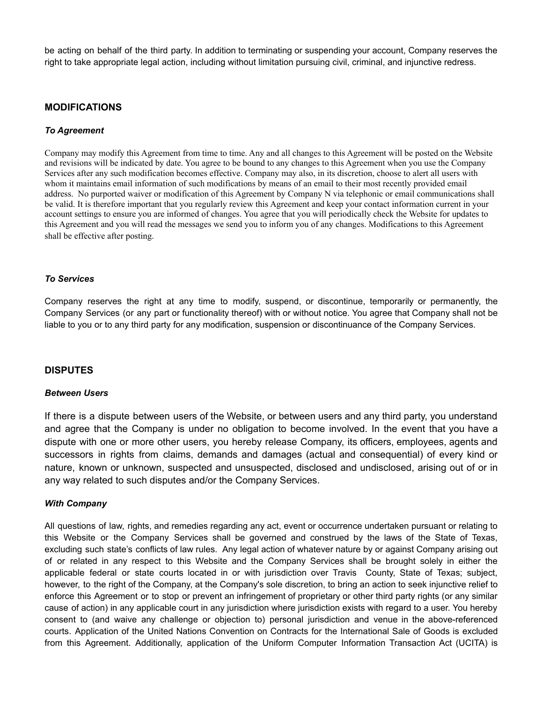be acting on behalf of the third party. In addition to terminating or suspending your account, Company reserves the right to take appropriate legal action, including without limitation pursuing civil, criminal, and injunctive redress.

## **MODIFICATIONS**

#### *To Agreement*

Company may modify this Agreement from time to time. Any and all changes to this Agreement will be posted on the Website and revisions will be indicated by date. You agree to be bound to any changes to this Agreement when you use the Company Services after any such modification becomes effective. Company may also, in its discretion, choose to alert all users with whom it maintains email information of such modifications by means of an email to their most recently provided email address. No purported waiver or modification of this Agreement by Company N via telephonic or email communications shall be valid. It is therefore important that you regularly review this Agreement and keep your contact information current in your account settings to ensure you are informed of changes. You agree that you will periodically check the Website for updates to this Agreement and you will read the messages we send you to inform you of any changes. Modifications to this Agreement shall be effective after posting.

#### *To Services*

Company reserves the right at any time to modify, suspend, or discontinue, temporarily or permanently, the Company Services (or any part or functionality thereof) with or without notice. You agree that Company shall not be liable to you or to any third party for any modification, suspension or discontinuance of the Company Services.

### **DISPUTES**

#### *Between Users*

If there is a dispute between users of the Website, or between users and any third party, you understand and agree that the Company is under no obligation to become involved. In the event that you have a dispute with one or more other users, you hereby release Company, its officers, employees, agents and successors in rights from claims, demands and damages (actual and consequential) of every kind or nature, known or unknown, suspected and unsuspected, disclosed and undisclosed, arising out of or in any way related to such disputes and/or the Company Services.

#### *With Company*

All questions of law, rights, and remedies regarding any act, event or occurrence undertaken pursuant or relating to this Website or the Company Services shall be governed and construed by the laws of the State of Texas, excluding such state's conflicts of law rules. Any legal action of whatever nature by or against Company arising out of or related in any respect to this Website and the Company Services shall be brought solely in either the applicable federal or state courts located in or with jurisdiction over Travis County, State of Texas; subject, however, to the right of the Company, at the Company's sole discretion, to bring an action to seek injunctive relief to enforce this Agreement or to stop or prevent an infringement of proprietary or other third party rights (or any similar cause of action) in any applicable court in any jurisdiction where jurisdiction exists with regard to a user. You hereby consent to (and waive any challenge or objection to) personal jurisdiction and venue in the above-referenced courts. Application of the United Nations Convention on Contracts for the International Sale of Goods is excluded from this Agreement. Additionally, application of the Uniform Computer Information Transaction Act (UCITA) is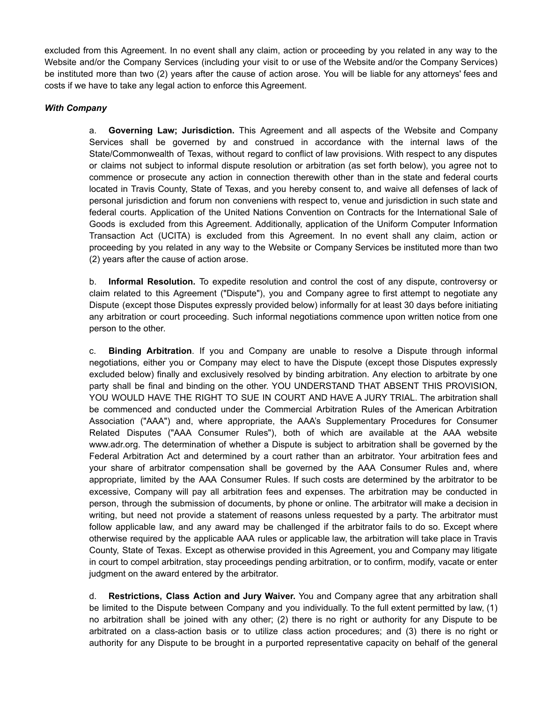excluded from this Agreement. In no event shall any claim, action or proceeding by you related in any way to the Website and/or the Company Services (including your visit to or use of the Website and/or the Company Services) be instituted more than two (2) years after the cause of action arose. You will be liable for any attorneys' fees and costs if we have to take any legal action to enforce this Agreement.

### *With Company*

a. **Governing Law; Jurisdiction.** This Agreement and all aspects of the Website and Company Services shall be governed by and construed in accordance with the internal laws of the State/Commonwealth of Texas, without regard to conflict of law provisions. With respect to any disputes or claims not subject to informal dispute resolution or arbitration (as set forth below), you agree not to commence or prosecute any action in connection therewith other than in the state and federal courts located in Travis County, State of Texas, and you hereby consent to, and waive all defenses of lack of personal jurisdiction and forum non conveniens with respect to, venue and jurisdiction in such state and federal courts. Application of the United Nations Convention on Contracts for the International Sale of Goods is excluded from this Agreement. Additionally, application of the Uniform Computer Information Transaction Act (UCITA) is excluded from this Agreement. In no event shall any claim, action or proceeding by you related in any way to the Website or Company Services be instituted more than two (2) years after the cause of action arose.

b. **Informal Resolution.** To expedite resolution and control the cost of any dispute, controversy or claim related to this Agreement ("Dispute"), you and Company agree to first attempt to negotiate any Dispute (except those Disputes expressly provided below) informally for at least 30 days before initiating any arbitration or court proceeding. Such informal negotiations commence upon written notice from one person to the other.

c. **Binding Arbitration**. If you and Company are unable to resolve a Dispute through informal negotiations, either you or Company may elect to have the Dispute (except those Disputes expressly excluded below) finally and exclusively resolved by binding arbitration. Any election to arbitrate by one party shall be final and binding on the other. YOU UNDERSTAND THAT ABSENT THIS PROVISION, YOU WOULD HAVE THE RIGHT TO SUE IN COURT AND HAVE A JURY TRIAL. The arbitration shall be commenced and conducted under the Commercial Arbitration Rules of the American Arbitration Association ("AAA") and, where appropriate, the AAA's Supplementary Procedures for Consumer Related Disputes ("AAA Consumer Rules"), both of which are available at the AAA website www.adr.org. The determination of whether a Dispute is subject to arbitration shall be governed by the Federal Arbitration Act and determined by a court rather than an arbitrator. Your arbitration fees and your share of arbitrator compensation shall be governed by the AAA Consumer Rules and, where appropriate, limited by the AAA Consumer Rules. If such costs are determined by the arbitrator to be excessive, Company will pay all arbitration fees and expenses. The arbitration may be conducted in person, through the submission of documents, by phone or online. The arbitrator will make a decision in writing, but need not provide a statement of reasons unless requested by a party. The arbitrator must follow applicable law, and any award may be challenged if the arbitrator fails to do so. Except where otherwise required by the applicable AAA rules or applicable law, the arbitration will take place in Travis County, State of Texas. Except as otherwise provided in this Agreement, you and Company may litigate in court to compel arbitration, stay proceedings pending arbitration, or to confirm, modify, vacate or enter judgment on the award entered by the arbitrator.

d. **Restrictions, Class Action and Jury Waiver.** You and Company agree that any arbitration shall be limited to the Dispute between Company and you individually. To the full extent permitted by law, (1) no arbitration shall be joined with any other; (2) there is no right or authority for any Dispute to be arbitrated on a class-action basis or to utilize class action procedures; and (3) there is no right or authority for any Dispute to be brought in a purported representative capacity on behalf of the general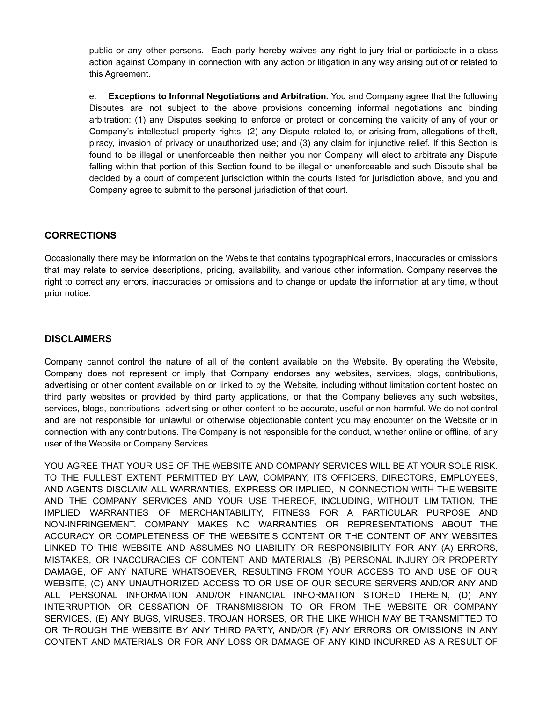public or any other persons. Each party hereby waives any right to jury trial or participate in a class action against Company in connection with any action or litigation in any way arising out of or related to this Agreement.

e. **Exceptions to Informal Negotiations and Arbitration.** You and Company agree that the following Disputes are not subject to the above provisions concerning informal negotiations and binding arbitration: (1) any Disputes seeking to enforce or protect or concerning the validity of any of your or Company's intellectual property rights; (2) any Dispute related to, or arising from, allegations of theft, piracy, invasion of privacy or unauthorized use; and (3) any claim for injunctive relief. If this Section is found to be illegal or unenforceable then neither you nor Company will elect to arbitrate any Dispute falling within that portion of this Section found to be illegal or unenforceable and such Dispute shall be decided by a court of competent jurisdiction within the courts listed for jurisdiction above, and you and Company agree to submit to the personal jurisdiction of that court.

## **CORRECTIONS**

Occasionally there may be information on the Website that contains typographical errors, inaccuracies or omissions that may relate to service descriptions, pricing, availability, and various other information. Company reserves the right to correct any errors, inaccuracies or omissions and to change or update the information at any time, without prior notice.

## **DISCLAIMERS**

Company cannot control the nature of all of the content available on the Website. By operating the Website, Company does not represent or imply that Company endorses any websites, services, blogs, contributions, advertising or other content available on or linked to by the Website, including without limitation content hosted on third party websites or provided by third party applications, or that the Company believes any such websites, services, blogs, contributions, advertising or other content to be accurate, useful or non-harmful. We do not control and are not responsible for unlawful or otherwise objectionable content you may encounter on the Website or in connection with any contributions. The Company is not responsible for the conduct, whether online or offline, of any user of the Website or Company Services.

YOU AGREE THAT YOUR USE OF THE WEBSITE AND COMPANY SERVICES WILL BE AT YOUR SOLE RISK. TO THE FULLEST EXTENT PERMITTED BY LAW, COMPANY, ITS OFFICERS, DIRECTORS, EMPLOYEES, AND AGENTS DISCLAIM ALL WARRANTIES, EXPRESS OR IMPLIED, IN CONNECTION WITH THE WEBSITE AND THE COMPANY SERVICES AND YOUR USE THEREOF, INCLUDING, WITHOUT LIMITATION, THE IMPLIED WARRANTIES OF MERCHANTABILITY, FITNESS FOR A PARTICULAR PURPOSE AND NON-INFRINGEMENT. COMPANY MAKES NO WARRANTIES OR REPRESENTATIONS ABOUT THE ACCURACY OR COMPLETENESS OF THE WEBSITE'S CONTENT OR THE CONTENT OF ANY WEBSITES LINKED TO THIS WEBSITE AND ASSUMES NO LIABILITY OR RESPONSIBILITY FOR ANY (A) ERRORS, MISTAKES, OR INACCURACIES OF CONTENT AND MATERIALS, (B) PERSONAL INJURY OR PROPERTY DAMAGE, OF ANY NATURE WHATSOEVER, RESULTING FROM YOUR ACCESS TO AND USE OF OUR WEBSITE, (C) ANY UNAUTHORIZED ACCESS TO OR USE OF OUR SECURE SERVERS AND/OR ANY AND ALL PERSONAL INFORMATION AND/OR FINANCIAL INFORMATION STORED THEREIN, (D) ANY INTERRUPTION OR CESSATION OF TRANSMISSION TO OR FROM THE WEBSITE OR COMPANY SERVICES, (E) ANY BUGS, VIRUSES, TROJAN HORSES, OR THE LIKE WHICH MAY BE TRANSMITTED TO OR THROUGH THE WEBSITE BY ANY THIRD PARTY, AND/OR (F) ANY ERRORS OR OMISSIONS IN ANY CONTENT AND MATERIALS OR FOR ANY LOSS OR DAMAGE OF ANY KIND INCURRED AS A RESULT OF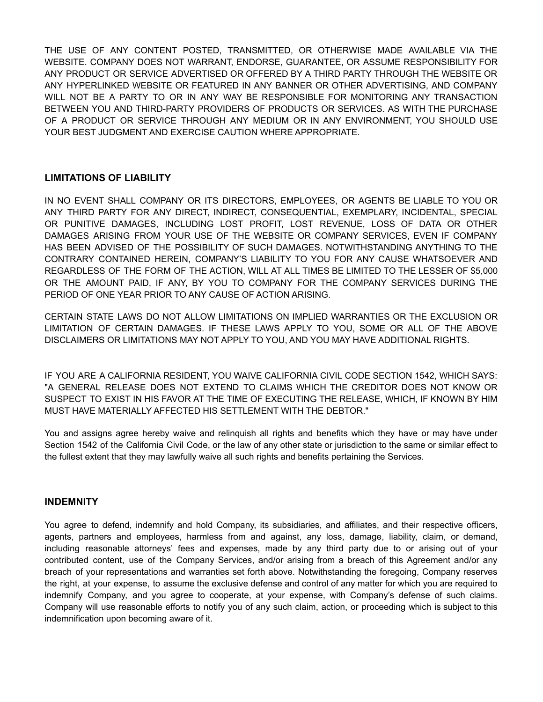THE USE OF ANY CONTENT POSTED, TRANSMITTED, OR OTHERWISE MADE AVAILABLE VIA THE WEBSITE. COMPANY DOES NOT WARRANT, ENDORSE, GUARANTEE, OR ASSUME RESPONSIBILITY FOR ANY PRODUCT OR SERVICE ADVERTISED OR OFFERED BY A THIRD PARTY THROUGH THE WEBSITE OR ANY HYPERLINKED WEBSITE OR FEATURED IN ANY BANNER OR OTHER ADVERTISING, AND COMPANY WILL NOT BE A PARTY TO OR IN ANY WAY BE RESPONSIBLE FOR MONITORING ANY TRANSACTION BETWEEN YOU AND THIRD-PARTY PROVIDERS OF PRODUCTS OR SERVICES. AS WITH THE PURCHASE OF A PRODUCT OR SERVICE THROUGH ANY MEDIUM OR IN ANY ENVIRONMENT, YOU SHOULD USE YOUR BEST JUDGMENT AND EXERCISE CAUTION WHERE APPROPRIATE.

## **LIMITATIONS OF LIABILITY**

IN NO EVENT SHALL COMPANY OR ITS DIRECTORS, EMPLOYEES, OR AGENTS BE LIABLE TO YOU OR ANY THIRD PARTY FOR ANY DIRECT, INDIRECT, CONSEQUENTIAL, EXEMPLARY, INCIDENTAL, SPECIAL OR PUNITIVE DAMAGES, INCLUDING LOST PROFIT, LOST REVENUE, LOSS OF DATA OR OTHER DAMAGES ARISING FROM YOUR USE OF THE WEBSITE OR COMPANY SERVICES, EVEN IF COMPANY HAS BEEN ADVISED OF THE POSSIBILITY OF SUCH DAMAGES. NOTWITHSTANDING ANYTHING TO THE CONTRARY CONTAINED HEREIN, COMPANY'S LIABILITY TO YOU FOR ANY CAUSE WHATSOEVER AND REGARDLESS OF THE FORM OF THE ACTION, WILL AT ALL TIMES BE LIMITED TO THE LESSER OF \$5,000 OR THE AMOUNT PAID, IF ANY, BY YOU TO COMPANY FOR THE COMPANY SERVICES DURING THE PERIOD OF ONE YEAR PRIOR TO ANY CAUSE OF ACTION ARISING.

CERTAIN STATE LAWS DO NOT ALLOW LIMITATIONS ON IMPLIED WARRANTIES OR THE EXCLUSION OR LIMITATION OF CERTAIN DAMAGES. IF THESE LAWS APPLY TO YOU, SOME OR ALL OF THE ABOVE DISCLAIMERS OR LIMITATIONS MAY NOT APPLY TO YOU, AND YOU MAY HAVE ADDITIONAL RIGHTS.

IF YOU ARE A CALIFORNIA RESIDENT, YOU WAIVE CALIFORNIA CIVIL CODE SECTION 1542, WHICH SAYS: "A GENERAL RELEASE DOES NOT EXTEND TO CLAIMS WHICH THE CREDITOR DOES NOT KNOW OR SUSPECT TO EXIST IN HIS FAVOR AT THE TIME OF EXECUTING THE RELEASE, WHICH, IF KNOWN BY HIM MUST HAVE MATERIALLY AFFECTED HIS SETTLEMENT WITH THE DEBTOR."

You and assigns agree hereby waive and relinquish all rights and benefits which they have or may have under Section 1542 of the California Civil Code, or the law of any other state or jurisdiction to the same or similar effect to the fullest extent that they may lawfully waive all such rights and benefits pertaining the Services.

## **INDEMNITY**

You agree to defend, indemnify and hold Company, its subsidiaries, and affiliates, and their respective officers, agents, partners and employees, harmless from and against, any loss, damage, liability, claim, or demand, including reasonable attorneys' fees and expenses, made by any third party due to or arising out of your contributed content, use of the Company Services, and/or arising from a breach of this Agreement and/or any breach of your representations and warranties set forth above. Notwithstanding the foregoing, Company reserves the right, at your expense, to assume the exclusive defense and control of any matter for which you are required to indemnify Company, and you agree to cooperate, at your expense, with Company's defense of such claims. Company will use reasonable efforts to notify you of any such claim, action, or proceeding which is subject to this indemnification upon becoming aware of it.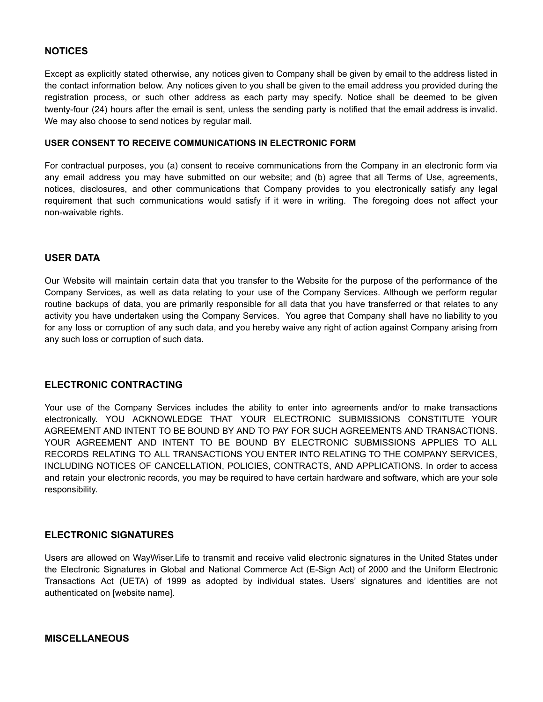## **NOTICES**

Except as explicitly stated otherwise, any notices given to Company shall be given by email to the address listed in the contact information below. Any notices given to you shall be given to the email address you provided during the registration process, or such other address as each party may specify. Notice shall be deemed to be given twenty-four (24) hours after the email is sent, unless the sending party is notified that the email address is invalid. We may also choose to send notices by regular mail.

#### **USER CONSENT TO RECEIVE COMMUNICATIONS IN ELECTRONIC FORM**

For contractual purposes, you (a) consent to receive communications from the Company in an electronic form via any email address you may have submitted on our website; and (b) agree that all Terms of Use, agreements, notices, disclosures, and other communications that Company provides to you electronically satisfy any legal requirement that such communications would satisfy if it were in writing. The foregoing does not affect your non-waivable rights.

## **USER DATA**

Our Website will maintain certain data that you transfer to the Website for the purpose of the performance of the Company Services, as well as data relating to your use of the Company Services. Although we perform regular routine backups of data, you are primarily responsible for all data that you have transferred or that relates to any activity you have undertaken using the Company Services. You agree that Company shall have no liability to you for any loss or corruption of any such data, and you hereby waive any right of action against Company arising from any such loss or corruption of such data.

### **ELECTRONIC CONTRACTING**

Your use of the Company Services includes the ability to enter into agreements and/or to make transactions electronically. YOU ACKNOWLEDGE THAT YOUR ELECTRONIC SUBMISSIONS CONSTITUTE YOUR AGREEMENT AND INTENT TO BE BOUND BY AND TO PAY FOR SUCH AGREEMENTS AND TRANSACTIONS. YOUR AGREEMENT AND INTENT TO BE BOUND BY ELECTRONIC SUBMISSIONS APPLIES TO ALL RECORDS RELATING TO ALL TRANSACTIONS YOU ENTER INTO RELATING TO THE COMPANY SERVICES, INCLUDING NOTICES OF CANCELLATION, POLICIES, CONTRACTS, AND APPLICATIONS. In order to access and retain your electronic records, you may be required to have certain hardware and software, which are your sole responsibility.

## **ELECTRONIC SIGNATURES**

Users are allowed on WayWiser.Life to transmit and receive valid electronic signatures in the United States under the Electronic Signatures in Global and National Commerce Act (E-Sign Act) of 2000 and the Uniform Electronic Transactions Act (UETA) of 1999 as adopted by individual states. Users' signatures and identities are not authenticated on [website name].

**MISCELLANEOUS**